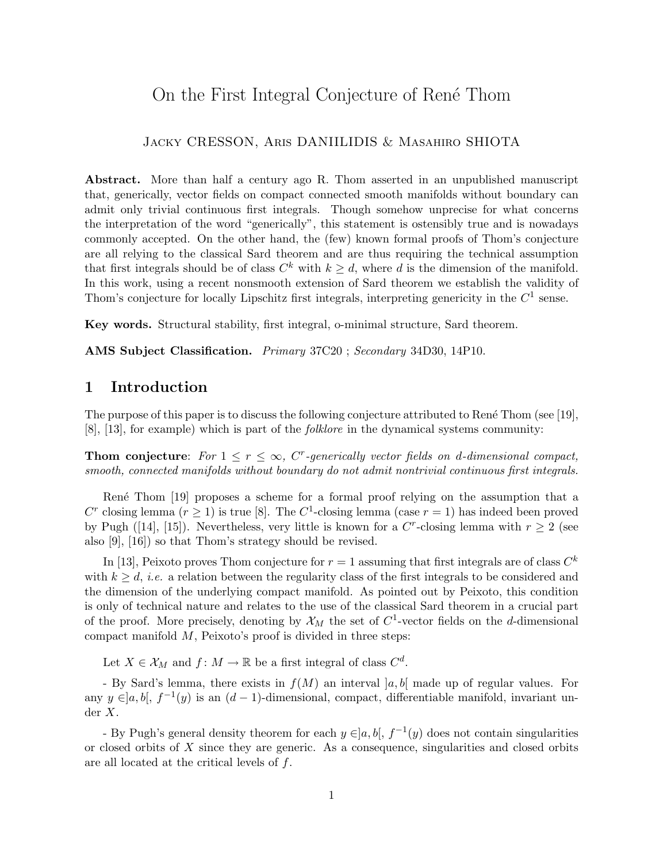# On the First Integral Conjecture of René Thom

### Jacky CRESSON, Aris DANIILIDIS & Masahiro SHIOTA

Abstract. More than half a century ago R. Thom asserted in an unpublished manuscript that, generically, vector fields on compact connected smooth manifolds without boundary can admit only trivial continuous first integrals. Though somehow unprecise for what concerns the interpretation of the word "generically", this statement is ostensibly true and is nowadays commonly accepted. On the other hand, the (few) known formal proofs of Thom's conjecture are all relying to the classical Sard theorem and are thus requiring the technical assumption that first integrals should be of class  $C^k$  with  $k \geq d$ , where d is the dimension of the manifold. In this work, using a recent nonsmooth extension of Sard theorem we establish the validity of Thom's conjecture for locally Lipschitz first integrals, interpreting genericity in the  $C<sup>1</sup>$  sense.

Key words. Structural stability, first integral, o-minimal structure, Sard theorem.

AMS Subject Classification. Primary 37C20 ; Secondary 34D30, 14P10.

## 1 Introduction

The purpose of this paper is to discuss the following conjecture attributed to René Thom (see [19], [8], [13], for example) which is part of the folklore in the dynamical systems community:

**Thom conjecture:** For  $1 \leq r \leq \infty$ , C<sup>r</sup>-generically vector fields on d-dimensional compact, smooth, connected manifolds without boundary do not admit nontrivial continuous first integrals.

Ren´e Thom [19] proposes a scheme for a formal proof relying on the assumption that a C<sup>r</sup> closing lemma ( $r \ge 1$ ) is true [8]. The C<sup>1</sup>-closing lemma (case  $r = 1$ ) has indeed been proved by Pugh ([14], [15]). Nevertheless, very little is known for a  $C^r$ -closing lemma with  $r \geq 2$  (see also [9], [16]) so that Thom's strategy should be revised.

In [13], Peixoto proves Thom conjecture for  $r = 1$  assuming that first integrals are of class  $C<sup>k</sup>$ with  $k > d$ , *i.e.* a relation between the regularity class of the first integrals to be considered and the dimension of the underlying compact manifold. As pointed out by Peixoto, this condition is only of technical nature and relates to the use of the classical Sard theorem in a crucial part of the proof. More precisely, denoting by  $\mathcal{X}_M$  the set of  $C^1$ -vector fields on the *d*-dimensional compact manifold  $M$ , Peixoto's proof is divided in three steps:

Let  $X \in \mathcal{X}_M$  and  $f: M \to \mathbb{R}$  be a first integral of class  $C^d$ .

- By Sard's lemma, there exists in  $f(M)$  an interval  $[a, b]$  made up of regular values. For any  $y \in ]a, b[$ ,  $f^{-1}(y)$  is an  $(d-1)$ -dimensional, compact, differentiable manifold, invariant under X.

- By Pugh's general density theorem for each  $y \in ]a, b[$ ,  $f^{-1}(y)$  does not contain singularities or closed orbits of  $X$  since they are generic. As a consequence, singularities and closed orbits are all located at the critical levels of f.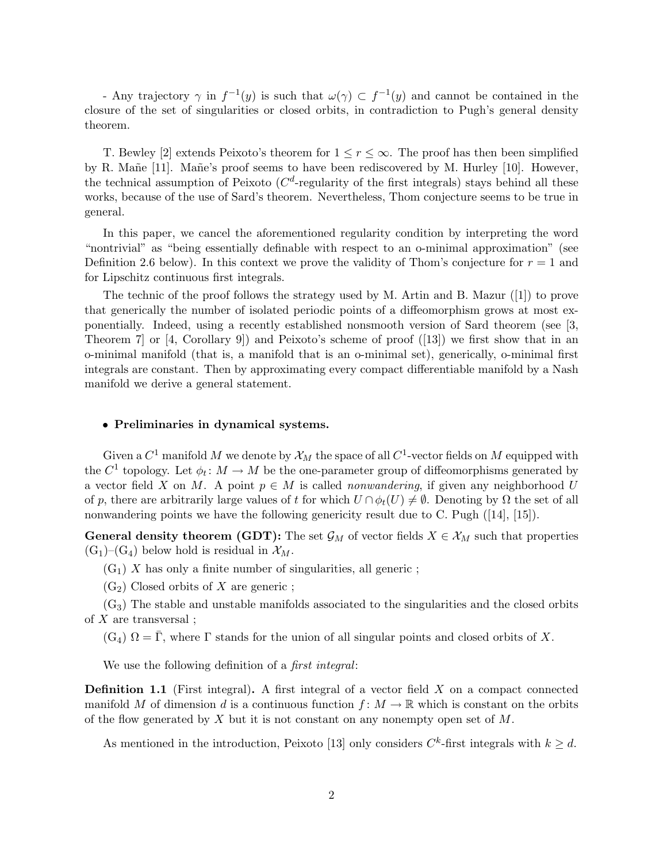- Any trajectory  $\gamma$  in  $f^{-1}(y)$  is such that  $\omega(\gamma) \subset f^{-1}(y)$  and cannot be contained in the closure of the set of singularities or closed orbits, in contradiction to Pugh's general density theorem.

T. Bewley [2] extends Peixoto's theorem for  $1 \leq r \leq \infty$ . The proof has then been simplified by R. Mañe [11]. Mañe's proof seems to have been rediscovered by M. Hurley [10]. However, the technical assumption of Peixoto ( $C<sup>d</sup>$ -regularity of the first integrals) stays behind all these works, because of the use of Sard's theorem. Nevertheless, Thom conjecture seems to be true in general.

In this paper, we cancel the aforementioned regularity condition by interpreting the word "nontrivial" as "being essentially definable with respect to an o-minimal approximation" (see Definition 2.6 below). In this context we prove the validity of Thom's conjecture for  $r = 1$  and for Lipschitz continuous first integrals.

The technic of the proof follows the strategy used by M. Artin and B. Mazur ([1]) to prove that generically the number of isolated periodic points of a diffeomorphism grows at most exponentially. Indeed, using a recently established nonsmooth version of Sard theorem (see [3, Theorem 7] or [4, Corollary 9]) and Peixoto's scheme of proof ([13]) we first show that in an o-minimal manifold (that is, a manifold that is an o-minimal set), generically, o-minimal first integrals are constant. Then by approximating every compact differentiable manifold by a Nash manifold we derive a general statement.

#### • Preliminaries in dynamical systems.

Given a  $C^1$  manifold  $M$  we denote by  $\mathcal{X}_M$  the space of all  $C^1$ -vector fields on  $M$  equipped with the  $C^1$  topology. Let  $\phi_t \colon M \to M$  be the one-parameter group of diffeomorphisms generated by a vector field X on M. A point  $p \in M$  is called *nonwandering*, if given any neighborhood U of p, there are arbitrarily large values of t for which  $U \cap \phi_t(U) \neq \emptyset$ . Denoting by  $\Omega$  the set of all nonwandering points we have the following genericity result due to C. Pugh  $([14], [15])$ .

**General density theorem (GDT):** The set  $\mathcal{G}_M$  of vector fields  $X \in \mathcal{X}_M$  such that properties  $(G_1)$ – $(G_4)$  below hold is residual in  $\mathcal{X}_M$ .

 $(G_1)$  X has only a finite number of singularities, all generic;

 $(G_2)$  Closed orbits of X are generic;

 $(G_3)$  The stable and unstable manifolds associated to the singularities and the closed orbits of  $X$  are transversal;

 $(G_4)$   $\Omega = \Gamma$ , where  $\Gamma$  stands for the union of all singular points and closed orbits of X.

We use the following definition of a *first integral*:

**Definition 1.1** (First integral). A first integral of a vector field  $X$  on a compact connected manifold M of dimension d is a continuous function  $f: M \to \mathbb{R}$  which is constant on the orbits of the flow generated by X but it is not constant on any nonempty open set of  $M$ .

As mentioned in the introduction, Peixoto [13] only considers  $C^k$ -first integrals with  $k \geq d$ .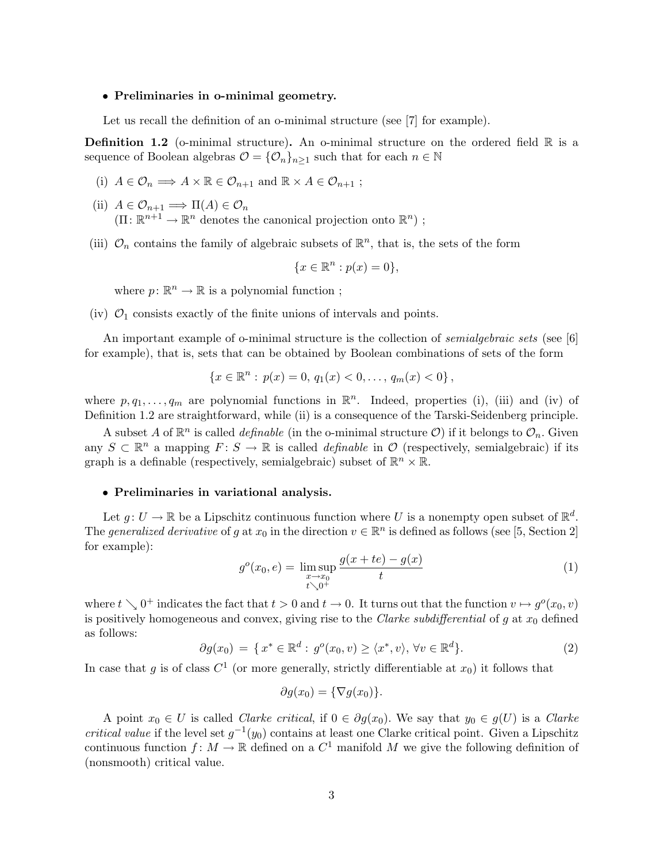### • Preliminaries in o-minimal geometry.

Let us recall the definition of an o-minimal structure (see [7] for example).

**Definition 1.2** (o-minimal structure). An o-minimal structure on the ordered field  $\mathbb{R}$  is a sequence of Boolean algebras  $\mathcal{O} = {\mathcal{O}_n}_{n>1}$  such that for each  $n \in \mathbb{N}$ 

- (i)  $A \in \mathcal{O}_n \Longrightarrow A \times \mathbb{R} \in \mathcal{O}_{n+1}$  and  $\mathbb{R} \times A \in \mathcal{O}_{n+1}$ ;
- (ii)  $A \in \mathcal{O}_{n+1} \Longrightarrow \Pi(A) \in \mathcal{O}_n$  $(\Pi: \mathbb{R}^{n+1} \to \mathbb{R}^n$  denotes the canonical projection onto  $\mathbb{R}^n)$ ;
- (iii)  $\mathcal{O}_n$  contains the family of algebraic subsets of  $\mathbb{R}^n$ , that is, the sets of the form

$$
\{x \in \mathbb{R}^n : p(x) = 0\},\
$$

where  $p: \mathbb{R}^n \to \mathbb{R}$  is a polynomial function;

(iv)  $\mathcal{O}_1$  consists exactly of the finite unions of intervals and points.

An important example of o-minimal structure is the collection of *semialgebraic sets* (see [6] for example), that is, sets that can be obtained by Boolean combinations of sets of the form

$$
\{x \in \mathbb{R}^n : p(x) = 0, q_1(x) < 0, \dots, q_m(x) < 0\},\
$$

where  $p, q_1, \ldots, q_m$  are polynomial functions in  $\mathbb{R}^n$ . Indeed, properties (i), (iii) and (iv) of Definition 1.2 are straightforward, while (ii) is a consequence of the Tarski-Seidenberg principle.

A subset A of  $\mathbb{R}^n$  is called *definable* (in the o-minimal structure O) if it belongs to  $\mathcal{O}_n$ . Given any  $S \subset \mathbb{R}^n$  a mapping  $F: S \to \mathbb{R}$  is called *definable* in  $\mathcal{O}$  (respectively, semialgebraic) if its graph is a definable (respectively, semialgebraic) subset of  $\mathbb{R}^n \times \mathbb{R}$ .

#### • Preliminaries in variational analysis.

Let  $g: U \to \mathbb{R}$  be a Lipschitz continuous function where U is a nonempty open subset of  $\mathbb{R}^d$ . The generalized derivative of g at  $x_0$  in the direction  $v \in \mathbb{R}^n$  is defined as follows (see [5, Section 2] for example):

$$
g^{o}(x_0, e) = \limsup_{\substack{x \to x_0 \\ t \searrow 0^+}} \frac{g(x + te) - g(x)}{t}
$$
 (1)

where  $t \searrow 0^+$  indicates the fact that  $t > 0$  and  $t \to 0$ . It turns out that the function  $v \mapsto g^o(x_0, v)$ is positively homogeneous and convex, giving rise to the Clarke subdifferential of  $g$  at  $x_0$  defined as follows:

$$
\partial g(x_0) = \{ x^* \in \mathbb{R}^d : g^o(x_0, v) \ge \langle x^*, v \rangle, \forall v \in \mathbb{R}^d \}. \tag{2}
$$

In case that g is of class  $C^1$  (or more generally, strictly differentiable at  $x_0$ ) it follows that

$$
\partial g(x_0) = \{\nabla g(x_0)\}.
$$

A point  $x_0 \in U$  is called *Clarke critical*, if  $0 \in \partial g(x_0)$ . We say that  $y_0 \in g(U)$  is a *Clarke* critical value if the level set  $g^{-1}(y_0)$  contains at least one Clarke critical point. Given a Lipschitz continuous function  $f: M \to \mathbb{R}$  defined on a  $C^1$  manifold M we give the following definition of (nonsmooth) critical value.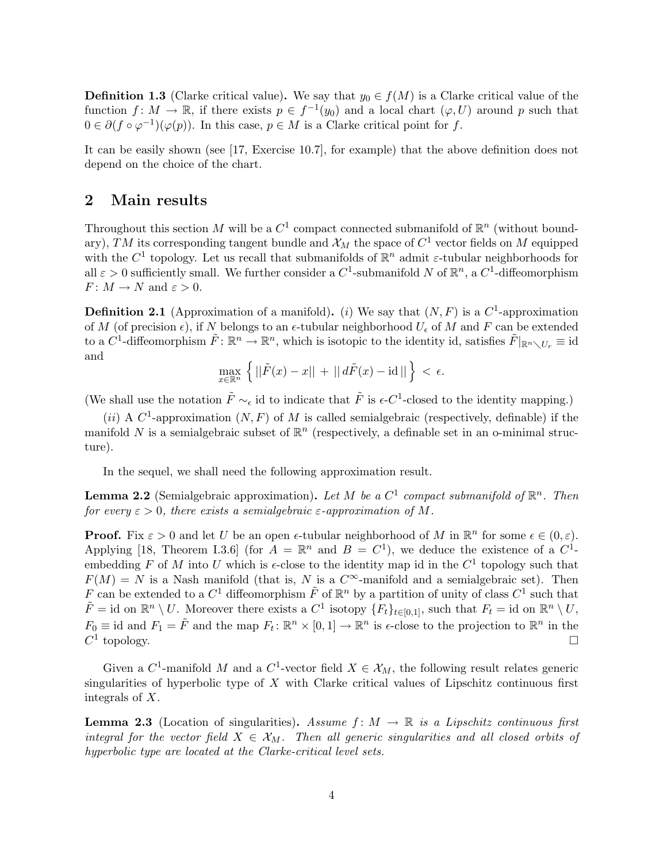**Definition 1.3** (Clarke critical value). We say that  $y_0 \in f(M)$  is a Clarke critical value of the function  $f: M \to \mathbb{R}$ , if there exists  $p \in f^{-1}(y_0)$  and a local chart  $(\varphi, U)$  around p such that  $0 \in \partial (f \circ \varphi^{-1})(\varphi(p))$ . In this case,  $p \in M$  is a Clarke critical point for f.

It can be easily shown (see [17, Exercise 10.7], for example) that the above definition does not depend on the choice of the chart.

### 2 Main results

Throughout this section M will be a  $C^1$  compact connected submanifold of  $\mathbb{R}^n$  (without boundary), TM its corresponding tangent bundle and  $\mathcal{X}_M$  the space of  $C^1$  vector fields on M equipped with the  $C^1$  topology. Let us recall that submanifolds of  $\mathbb{R}^n$  admit  $\varepsilon$ -tubular neighborhoods for all  $\varepsilon > 0$  sufficiently small. We further consider a  $C^1$ -submanifold N of  $\mathbb{R}^n$ , a  $C^1$ -diffeomorphism  $F: M \to N$  and  $\varepsilon > 0$ .

**Definition 2.1** (Approximation of a manifold). (i) We say that  $(N, F)$  is a  $C^1$ -approximation of M (of precision  $\epsilon$ ), if N belongs to an  $\epsilon$ -tubular neighborhood  $U_{\epsilon}$  of M and F can be extended to a  $C^1$ -diffeomorphism  $\tilde{F} \colon \mathbb{R}^n \to \mathbb{R}^n$ , which is isotopic to the identity id, satisfies  $\tilde{F}|_{\mathbb{R}^n \setminus U_r} \equiv \mathrm{id}$ and

$$
\max_{x\in\mathbb{R}^n} \left\{ ||\tilde{F}(x)-x|| + ||d\tilde{F}(x) - id|| \right\} < \epsilon.
$$

(We shall use the notation  $\tilde{F} \sim_{\epsilon}$  id to indicate that  $\tilde{F}$  is  $\epsilon$ -C<sup>1</sup>-closed to the identity mapping.)

(ii) A  $C^1$ -approximation  $(N, F)$  of M is called semialgebraic (respectively, definable) if the manifold N is a semialgebraic subset of  $\mathbb{R}^n$  (respectively, a definable set in an o-minimal structure).

In the sequel, we shall need the following approximation result.

**Lemma 2.2** (Semialgebraic approximation). Let M be a  $C^1$  compact submanifold of  $\mathbb{R}^n$ . Then for every  $\varepsilon > 0$ , there exists a semialgebraic  $\varepsilon$ -approximation of M.

**Proof.** Fix  $\varepsilon > 0$  and let U be an open  $\epsilon$ -tubular neighborhood of M in  $\mathbb{R}^n$  for some  $\epsilon \in (0, \varepsilon)$ . Applying [18, Theorem I.3.6] (for  $A = \mathbb{R}^n$  and  $B = C^1$ ), we deduce the existence of a  $C^1$ embedding F of M into U which is  $\epsilon$ -close to the identity map id in the  $C^1$  topology such that  $F(M) = N$  is a Nash manifold (that is, N is a  $C^{\infty}$ -manifold and a semialgebraic set). Then F can be extended to a  $C^1$  diffeomorphism  $\tilde{F}$  of  $\mathbb{R}^n$  by a partition of unity of class  $C^1$  such that  $\tilde{F} = \text{id}$  on  $\mathbb{R}^n \setminus U$ . Moreover there exists a  $C^1$  isotopy  $\{F_t\}_{t \in [0,1]},$  such that  $F_t = \text{id}$  on  $\mathbb{R}^n \setminus U$ ,  $F_0 \equiv \text{id}$  and  $F_1 = \tilde{F}$  and the map  $F_t \colon \mathbb{R}^n \times [0,1] \to \mathbb{R}^n$  is  $\epsilon$ -close to the projection to  $\mathbb{R}^n$  in the  $C^1$ topology.

Given a  $C^1$ -manifold M and a  $C^1$ -vector field  $X \in \mathcal{X}_M$ , the following result relates generic singularities of hyperbolic type of  $X$  with Clarke critical values of Lipschitz continuous first integrals of X.

**Lemma 2.3** (Location of singularities). Assume  $f: M \to \mathbb{R}$  is a Lipschitz continuous first integral for the vector field  $X \in \mathcal{X}_M$ . Then all generic singularities and all closed orbits of hyperbolic type are located at the Clarke-critical level sets.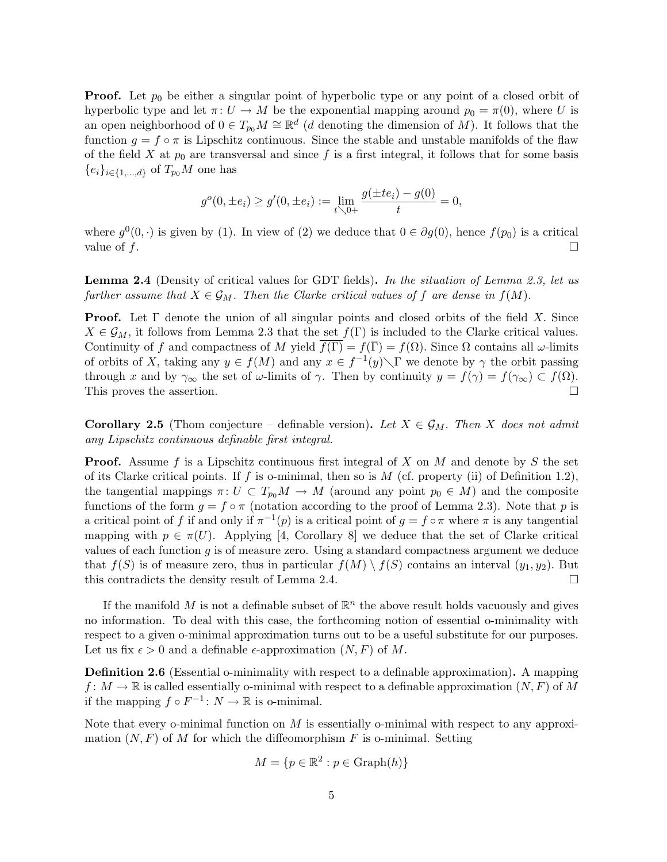**Proof.** Let  $p_0$  be either a singular point of hyperbolic type or any point of a closed orbit of hyperbolic type and let  $\pi: U \to M$  be the exponential mapping around  $p_0 = \pi(0)$ , where U is an open neighborhood of  $0 \in T_{p_0}M \cong \mathbb{R}^d$  (*d* denoting the dimension of M). It follows that the function  $g = f \circ \pi$  is Lipschitz continuous. Since the stable and unstable manifolds of the flaw of the field X at  $p_0$  are transversal and since f is a first integral, it follows that for some basis  ${e_i}_{i\in\{1,\ldots,d\}}$  of  $T_{p_0}M$  one has

$$
g^{o}(0, \pm e_i) \ge g'(0, \pm e_i) := \lim_{t \searrow 0+} \frac{g(\pm te_i) - g(0)}{t} = 0,
$$

where  $g^0(0, \cdot)$  is given by (1). In view of (2) we deduce that  $0 \in \partial g(0)$ , hence  $f(p_0)$  is a critical value of  $f$ .

**Lemma 2.4** (Density of critical values for GDT fields). In the situation of Lemma 2.3, let us further assume that  $X \in \mathcal{G}_M$ . Then the Clarke critical values of f are dense in  $f(M)$ .

**Proof.** Let  $\Gamma$  denote the union of all singular points and closed orbits of the field X. Since  $X \in \mathcal{G}_M$ , it follows from Lemma 2.3 that the set  $f(\Gamma)$  is included to the Clarke critical values. Continuity of f and compactness of M yield  $\overline{f(\Gamma)} = f(\overline{\Gamma}) = f(\Omega)$ . Since  $\Omega$  contains all  $\omega$ -limits of orbits of X, taking any  $y \in f(M)$  and any  $x \in f^{-1}(y) \setminus \Gamma$  we denote by  $\gamma$  the orbit passing through x and by  $\gamma_{\infty}$  the set of  $\omega$ -limits of  $\gamma$ . Then by continuity  $y = f(\gamma) = f(\gamma_{\infty}) \subset f(\Omega)$ . This proves the assertion.  $\Box$ 

**Corollary 2.5** (Thom conjecture – definable version). Let  $X \in \mathcal{G}_M$ . Then X does not admit any Lipschitz continuous definable first integral.

**Proof.** Assume f is a Lipschitz continuous first integral of X on M and denote by S the set of its Clarke critical points. If f is o-minimal, then so is  $M$  (cf. property (ii) of Definition 1.2), the tangential mappings  $\pi: U \subset T_{p_0}M \to M$  (around any point  $p_0 \in M$ ) and the composite functions of the form  $g = f \circ \pi$  (notation according to the proof of Lemma 2.3). Note that p is a critical point of f if and only if  $\pi^{-1}(p)$  is a critical point of  $g = f \circ \pi$  where  $\pi$  is any tangential mapping with  $p \in \pi(U)$ . Applying [4, Corollary 8] we deduce that the set of Clarke critical values of each function  $g$  is of measure zero. Using a standard compactness argument we deduce that  $f(S)$  is of measure zero, thus in particular  $f(M) \setminus f(S)$  contains an interval  $(y_1, y_2)$ . But this contradicts the density result of Lemma 2.4.  $\Box$ 

If the manifold M is not a definable subset of  $\mathbb{R}^n$  the above result holds vacuously and gives no information. To deal with this case, the forthcoming notion of essential o-minimality with respect to a given o-minimal approximation turns out to be a useful substitute for our purposes. Let us fix  $\epsilon > 0$  and a definable  $\epsilon$ -approximation  $(N, F)$  of M.

Definition 2.6 (Essential o-minimality with respect to a definable approximation). A mapping  $f: M \to \mathbb{R}$  is called essentially o-minimal with respect to a definable approximation  $(N, F)$  of M if the mapping  $f \circ F^{-1} : N \to \mathbb{R}$  is o-minimal.

Note that every o-minimal function on  $M$  is essentially o-minimal with respect to any approximation  $(N, F)$  of M for which the diffeomorphism F is o-minimal. Setting

$$
M = \{ p \in \mathbb{R}^2 : p \in \text{Graph}(h) \}
$$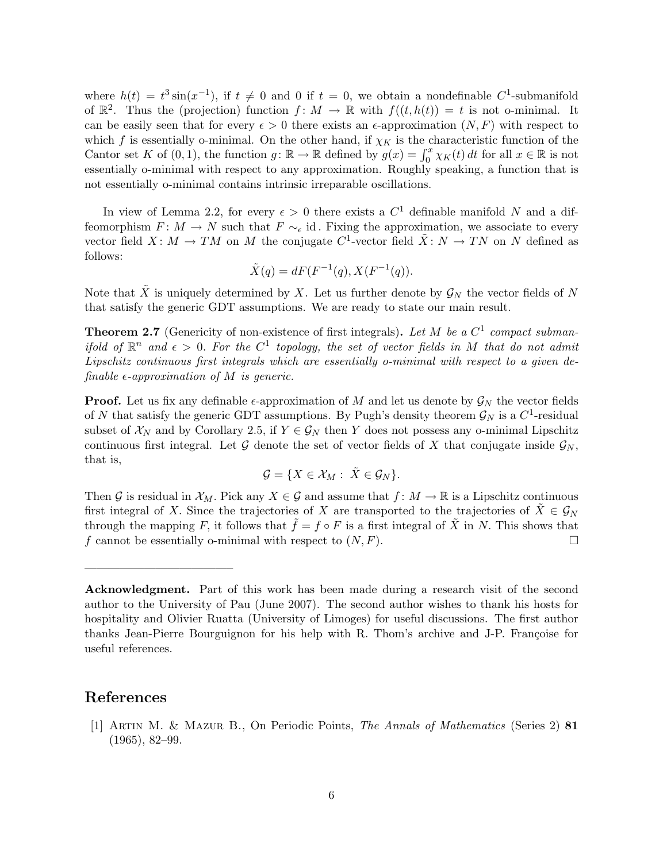where  $h(t) = t^3 \sin(x^{-1})$ , if  $t \neq 0$  and 0 if  $t = 0$ , we obtain a nondefinable  $C^1$ -submanifold of  $\mathbb{R}^2$ . Thus the (projection) function  $f: M \to \mathbb{R}$  with  $f((t, h(t)) = t$  is not o-minimal. It can be easily seen that for every  $\epsilon > 0$  there exists an  $\epsilon$ -approximation  $(N, F)$  with respect to which f is essentially o-minimal. On the other hand, if  $\chi_K$  is the characteristic function of the Cantor set K of  $(0, 1)$ , the function  $g: \mathbb{R} \to \mathbb{R}$  defined by  $g(x) = \int_0^x \chi_K(t) dt$  for all  $x \in \mathbb{R}$  is not essentially o-minimal with respect to any approximation. Roughly speaking, a function that is not essentially o-minimal contains intrinsic irreparable oscillations.

In view of Lemma 2.2, for every  $\epsilon > 0$  there exists a  $C^1$  definable manifold N and a diffeomorphism  $F: M \to N$  such that  $F \sim_{\epsilon}$  id. Fixing the approximation, we associate to every vector field  $X: M \to TM$  on M the conjugate  $C^1$ -vector field  $\tilde{X}: N \to TN$  on N defined as follows:

$$
\tilde{X}(q) = dF(F^{-1}(q), X(F^{-1}(q)).
$$

Note that  $\tilde{X}$  is uniquely determined by X. Let us further denote by  $\mathcal{G}_N$  the vector fields of N that satisfy the generic GDT assumptions. We are ready to state our main result.

**Theorem 2.7** (Genericity of non-existence of first integrals). Let M be a  $C^1$  compact submanifold of  $\mathbb{R}^n$  and  $\epsilon > 0$ . For the  $C^1$  topology, the set of vector fields in M that do not admit Lipschitz continuous first integrals which are essentially o-minimal with respect to a given definable  $\epsilon$ -approximation of M is generic.

**Proof.** Let us fix any definable  $\epsilon$ -approximation of M and let us denote by  $\mathcal{G}_N$  the vector fields of N that satisfy the generic GDT assumptions. By Pugh's density theorem  $\mathcal{G}_N$  is a  $C^1$ -residual subset of  $\mathcal{X}_N$  and by Corollary 2.5, if  $Y \in \mathcal{G}_N$  then Y does not possess any o-minimal Lipschitz continuous first integral. Let G denote the set of vector fields of X that conjugate inside  $\mathcal{G}_N$ , that is,

$$
\mathcal{G} = \{ X \in \mathcal{X}_M : \ \tilde{X} \in \mathcal{G}_N \}.
$$

Then G is residual in  $\mathcal{X}_M$ . Pick any  $X \in \mathcal{G}$  and assume that  $f: M \to \mathbb{R}$  is a Lipschitz continuous first integral of X. Since the trajectories of X are transported to the trajectories of  $\tilde{X} \in \mathcal{G}_N$ through the mapping F, it follows that  $\tilde{f} = f \circ F$  is a first integral of  $\tilde{X}$  in N. This shows that f cannot be essentially o-minimal with respect to  $(N, F)$ .

# References

————————————–

[1] Artin M. & Mazur B., On Periodic Points, The Annals of Mathematics (Series 2) 81 (1965), 82–99.

Acknowledgment. Part of this work has been made during a research visit of the second author to the University of Pau (June 2007). The second author wishes to thank his hosts for hospitality and Olivier Ruatta (University of Limoges) for useful discussions. The first author thanks Jean-Pierre Bourguignon for his help with R. Thom's archive and J-P. Françoise for useful references.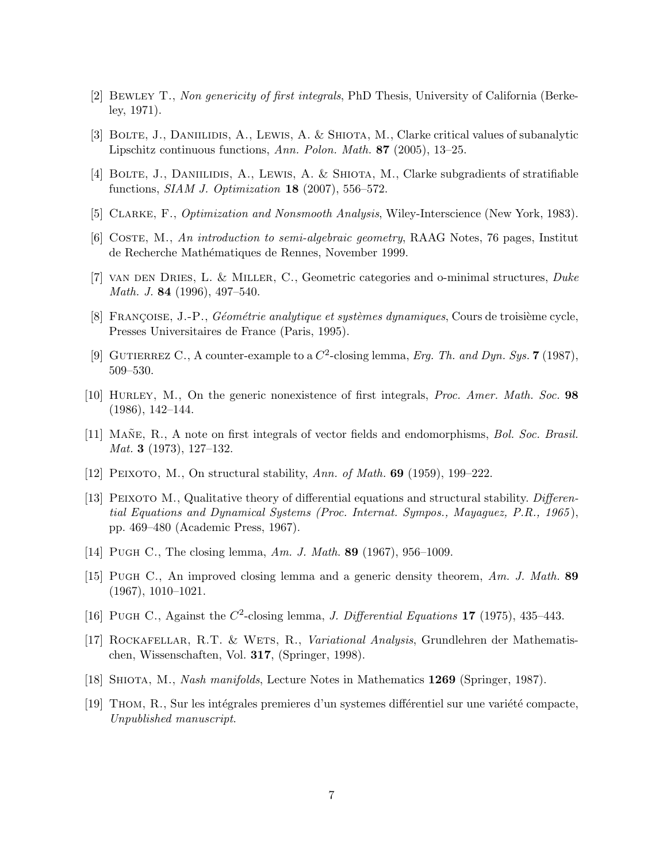- [2] Bewley T., Non genericity of first integrals, PhD Thesis, University of California (Berkeley, 1971).
- [3] BOLTE, J., DANIILIDIS, A., LEWIS, A. & SHIOTA, M., Clarke critical values of subanalytic Lipschitz continuous functions, Ann. Polon. Math. 87 (2005), 13–25.
- [4] Bolte, J., Daniilidis, A., Lewis, A. & Shiota, M., Clarke subgradients of stratifiable functions,  $SIAM$  J. Optimization 18 (2007), 556–572.
- [5] Clarke, F., Optimization and Nonsmooth Analysis, Wiley-Interscience (New York, 1983).
- [6] Coste, M., An introduction to semi-algebraic geometry, RAAG Notes, 76 pages, Institut de Recherche Mathématiques de Rennes, November 1999.
- [7] van den Dries, L. & Miller, C., Geometric categories and o-minimal structures, Duke Math. J. 84 (1996), 497–540.
- [8] FRANÇOISE, J.-P., *Géométrie analytique et systèmes dynamiques*, Cours de troisième cycle, Presses Universitaires de France (Paris, 1995).
- [9] GUTIERREZ C., A counter-example to a  $C^2$ -closing lemma, Erg. Th. and Dyn. Sys. 7 (1987), 509–530.
- [10] Hurley, M., On the generic nonexistence of first integrals, Proc. Amer. Math. Soc. 98 (1986), 142–144.
- [11] MANE, R., A note on first integrals of vector fields and endomorphisms, Bol. Soc. Brasil. Mat. 3 (1973), 127–132.
- [12] PEIXOTO, M., On structural stability, Ann. of Math. **69** (1959), 199–222.
- [13] PEIXOTO M., Qualitative theory of differential equations and structural stability. Differential Equations and Dynamical Systems (Proc. Internat. Sympos., Mayaguez, P.R., 1965 ), pp. 469–480 (Academic Press, 1967).
- [14] PUGH C., The closing lemma, Am. J. Math. 89 (1967), 956-1009.
- [15] Pugh C., An improved closing lemma and a generic density theorem, Am. J. Math. 89 (1967), 1010–1021.
- [16] PUGH C., Against the  $C^2$ -closing lemma, *J. Differential Equations* 17 (1975), 435-443.
- [17] ROCKAFELLAR, R.T. & WETS, R., Variational Analysis, Grundlehren der Mathematischen, Wissenschaften, Vol. 317, (Springer, 1998).
- [18] SHIOTA, M., *Nash manifolds*, Lecture Notes in Mathematics **1269** (Springer, 1987).
- [19] THOM, R., Sur les intégrales premieres d'un systemes différentiel sur une variété compacte, Unpublished manuscript.